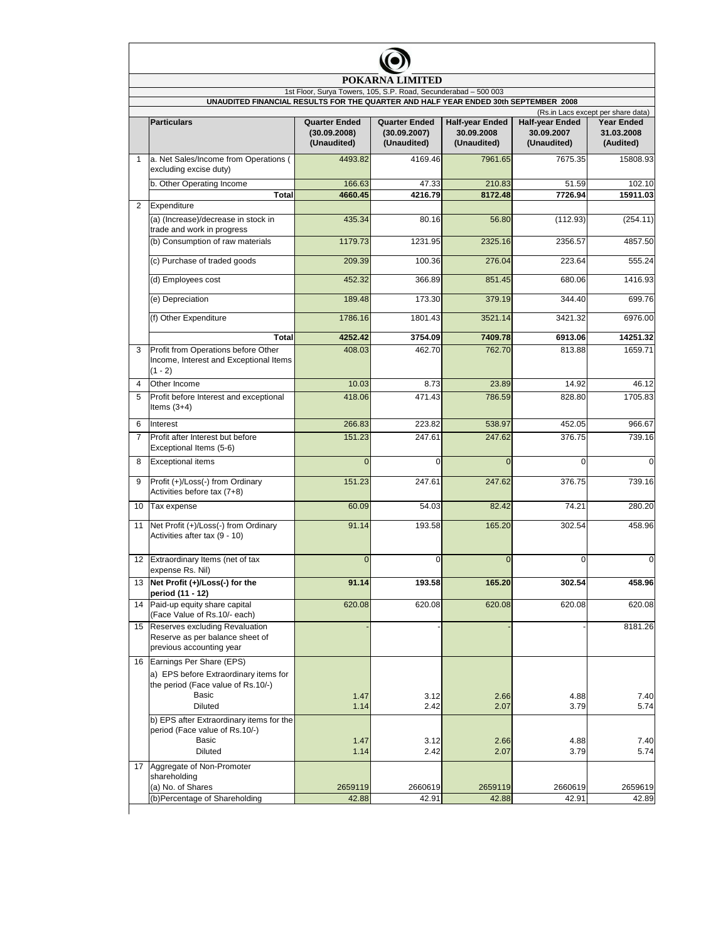| <b>POKARNA</b><br><b>LIMITED</b> |                                                                                                                                           |                                                                 |                                                     |                                                     |                                                     |                                              |  |  |  |  |
|----------------------------------|-------------------------------------------------------------------------------------------------------------------------------------------|-----------------------------------------------------------------|-----------------------------------------------------|-----------------------------------------------------|-----------------------------------------------------|----------------------------------------------|--|--|--|--|
|                                  | UNAUDITED FINANCIAL RESULTS FOR THE QUARTER AND HALF YEAR ENDED 30th SEPTEMBER 2008                                                       | 1st Floor, Surya Towers, 105, S.P. Road, Secunderabad - 500 003 |                                                     |                                                     |                                                     |                                              |  |  |  |  |
|                                  | (Rs.in Lacs except per share data)                                                                                                        |                                                                 |                                                     |                                                     |                                                     |                                              |  |  |  |  |
|                                  | <b>Particulars</b>                                                                                                                        | <b>Quarter Ended</b><br>(30.09.2008)<br>(Unaudited)             | <b>Quarter Ended</b><br>(30.09.2007)<br>(Unaudited) | <b>Half-year Ended</b><br>30.09.2008<br>(Unaudited) | <b>Half-year Ended</b><br>30.09.2007<br>(Unaudited) | <b>Year Ended</b><br>31.03.2008<br>(Audited) |  |  |  |  |
| $\mathbf{1}$                     | a. Net Sales/Income from Operations (<br>excluding excise duty)                                                                           | 4493.82                                                         | 4169.46                                             | 7961.65                                             | 7675.35                                             | 15808.93                                     |  |  |  |  |
|                                  | b. Other Operating Income<br><b>Total</b>                                                                                                 | 166.63<br>4660.45                                               | 47.33<br>4216.79                                    | 210.83<br>8172.48                                   | 51.59<br>7726.94                                    | 102.10<br>15911.03                           |  |  |  |  |
| $\overline{2}$                   | Expenditure                                                                                                                               |                                                                 |                                                     |                                                     |                                                     |                                              |  |  |  |  |
|                                  | (a) (Increase)/decrease in stock in<br>trade and work in progress                                                                         | 435.34                                                          | 80.16                                               | 56.80                                               | (112.93)                                            | (254.11)                                     |  |  |  |  |
|                                  | (b) Consumption of raw materials                                                                                                          | 1179.73                                                         | 1231.95                                             | 2325.16                                             | 2356.57                                             | 4857.50                                      |  |  |  |  |
|                                  | (c) Purchase of traded goods                                                                                                              | 209.39                                                          | 100.36                                              | 276.04                                              | 223.64                                              | 555.24                                       |  |  |  |  |
|                                  | (d) Employees cost                                                                                                                        | 452.32                                                          | 366.89                                              | 851.45                                              | 680.06                                              | 1416.93                                      |  |  |  |  |
|                                  | (e) Depreciation                                                                                                                          | 189.48                                                          | 173.30                                              | 379.19                                              | 344.40                                              | 699.76                                       |  |  |  |  |
|                                  | (f) Other Expenditure                                                                                                                     | 1786.16                                                         | 1801.43                                             | 3521.14                                             | 3421.32                                             | 6976.00                                      |  |  |  |  |
|                                  | <b>Total</b>                                                                                                                              | 4252.42                                                         | 3754.09                                             | 7409.78                                             | 6913.06                                             | 14251.32                                     |  |  |  |  |
| 3                                | Profit from Operations before Other<br>Income, Interest and Exceptional Items<br>$(1 - 2)$                                                | 408.03                                                          | 462.70                                              | 762.70                                              | 813.88                                              | 1659.71                                      |  |  |  |  |
| $\overline{4}$                   | Other Income                                                                                                                              | 10.03                                                           | 8.73                                                | 23.89                                               | 14.92                                               | 46.12                                        |  |  |  |  |
| 5                                | Profit before Interest and exceptional<br>Items $(3+4)$                                                                                   | 418.06                                                          | 471.43                                              | 786.59                                              | 828.80                                              | 1705.83                                      |  |  |  |  |
| 6                                | Interest                                                                                                                                  | 266.83                                                          | 223.82                                              | 538.97                                              | 452.05                                              | 966.67                                       |  |  |  |  |
| $\overline{7}$                   | Profit after Interest but before<br>Exceptional Items (5-6)                                                                               | 151.23                                                          | 247.61                                              | 247.62                                              | 376.75                                              | 739.16                                       |  |  |  |  |
| 8                                | <b>Exceptional items</b>                                                                                                                  | $\overline{0}$                                                  | 0                                                   | $\Omega$                                            | $\Omega$                                            | $\mathbf 0$                                  |  |  |  |  |
| 9                                | Profit (+)/Loss(-) from Ordinary<br>Activities before tax (7+8)                                                                           | 151.23                                                          | 247.61                                              | 247.62                                              | 376.75                                              | 739.16                                       |  |  |  |  |
|                                  | 10 Tax expense                                                                                                                            | 60.09                                                           | 54.03                                               | 82.42                                               | 74.21                                               | 280.20                                       |  |  |  |  |
| 11                               | Net Profit (+)/Loss(-) from Ordinary<br>Activities after tax (9 - 10)                                                                     | 91.14                                                           | 193.58                                              | 165.20                                              | 302.54                                              | 458.96                                       |  |  |  |  |
|                                  | 12 Extraordinary Items (net of tax<br>expense Rs. Nil)                                                                                    | $\overline{0}$                                                  | 0                                                   | $\overline{0}$                                      | 0                                                   | $\mathbf 0$                                  |  |  |  |  |
|                                  | 13 Net Profit (+)/Loss(-) for the<br>period (11 - 12)                                                                                     | 91.14                                                           | 193.58                                              | 165.20                                              | 302.54                                              | 458.96                                       |  |  |  |  |
|                                  | 14 Paid-up equity share capital<br>(Face Value of Rs.10/- each)                                                                           | 620.08                                                          | 620.08                                              | 620.08                                              | 620.08                                              | 620.08                                       |  |  |  |  |
|                                  | 15 Reserves excluding Revaluation<br>Reserve as per balance sheet of<br>previous accounting year                                          |                                                                 |                                                     |                                                     |                                                     | 8181.26                                      |  |  |  |  |
| 16                               | Earnings Per Share (EPS)<br>a) EPS before Extraordinary items for<br>the period (Face value of Rs.10/-)<br><b>Basic</b><br><b>Diluted</b> | 1.47<br>1.14                                                    | 3.12<br>2.42                                        | 2.66<br>2.07                                        | 4.88<br>3.79                                        | 7.40<br>5.74                                 |  |  |  |  |
|                                  | b) EPS after Extraordinary items for the<br>period (Face value of Rs.10/-)<br>Basic<br>Diluted                                            | 1.47<br>1.14                                                    | 3.12<br>2.42                                        | 2.66<br>2.07                                        | 4.88<br>3.79                                        | 7.40<br>5.74                                 |  |  |  |  |
|                                  | 17 Aggregate of Non-Promoter<br>shareholding<br>(a) No. of Shares                                                                         | 2659119                                                         | 2660619                                             | 2659119                                             | 2660619                                             | 2659619                                      |  |  |  |  |
|                                  | (b)Percentage of Shareholding                                                                                                             | 42.88                                                           | 42.91                                               | 42.88                                               | 42.91                                               | 42.89                                        |  |  |  |  |